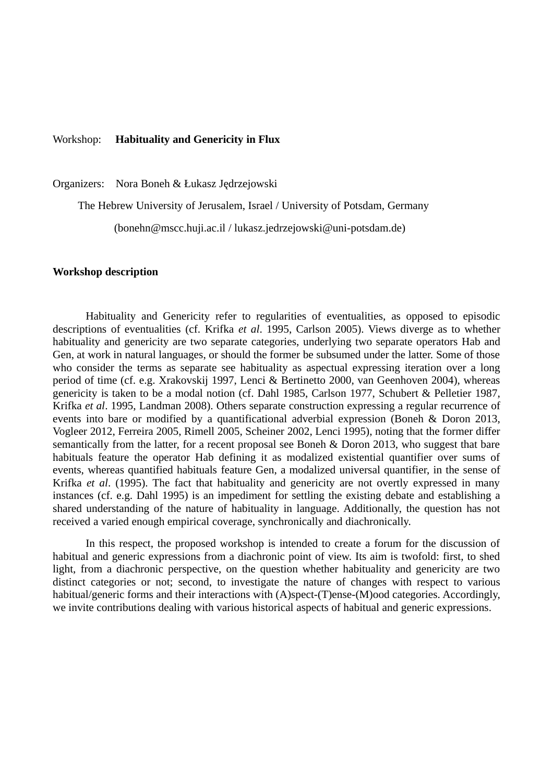### Workshop: **Habituality and Genericity in Flux**

Organizers: Nora Boneh & Łukasz Jędrzejowski

The Hebrew University of Jerusalem, Israel / University of Potsdam, Germany

(bonehn@mscc.huji.ac.il / lukasz.jedrzejowski@uni-potsdam.de)

#### **Workshop description**

Habituality and Genericity refer to regularities of eventualities, as opposed to episodic descriptions of eventualities (cf. Krifka *et al*. 1995, Carlson 2005). Views diverge as to whether habituality and genericity are two separate categories, underlying two separate operators Hab and Gen, at work in natural languages, or should the former be subsumed under the latter. Some of those who consider the terms as separate see habituality as aspectual expressing iteration over a long period of time (cf. e.g. Xrakovskij 1997, Lenci & Bertinetto 2000, van Geenhoven 2004), whereas genericity is taken to be a modal notion (cf. Dahl 1985, Carlson 1977, Schubert & Pelletier 1987, Krifka *et al*. 1995, Landman 2008). Others separate construction expressing a regular recurrence of events into bare or modified by a quantificational adverbial expression (Boneh & Doron 2013, Vogleer 2012, Ferreira 2005, Rimell 2005, Scheiner 2002, Lenci 1995), noting that the former differ semantically from the latter, for a recent proposal see Boneh & Doron 2013, who suggest that bare habituals feature the operator Hab defining it as modalized existential quantifier over sums of events, whereas quantified habituals feature Gen, a modalized universal quantifier, in the sense of Krifka *et al*. (1995). The fact that habituality and genericity are not overtly expressed in many instances (cf. e.g. Dahl 1995) is an impediment for settling the existing debate and establishing a shared understanding of the nature of habituality in language. Additionally, the question has not received a varied enough empirical coverage, synchronically and diachronically.

In this respect, the proposed workshop is intended to create a forum for the discussion of habitual and generic expressions from a diachronic point of view. Its aim is twofold: first, to shed light, from a diachronic perspective, on the question whether habituality and genericity are two distinct categories or not; second, to investigate the nature of changes with respect to various habitual/generic forms and their interactions with (A)spect-(T)ense-(M)ood categories. Accordingly, we invite contributions dealing with various historical aspects of habitual and generic expressions.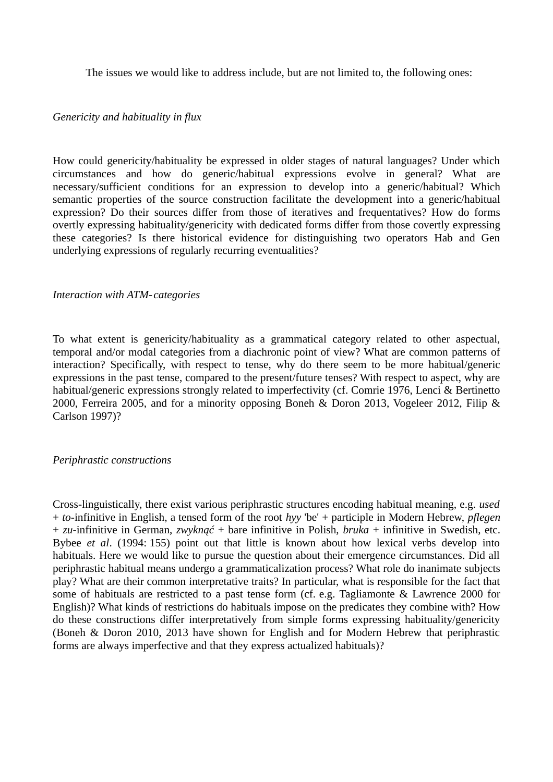The issues we would like to address include, but are not limited to, the following ones:

# *Genericity and habituality in flux*

How could genericity/habituality be expressed in older stages of natural languages? Under which circumstances and how do generic/habitual expressions evolve in general? What are necessary/sufficient conditions for an expression to develop into a generic/habitual? Which semantic properties of the source construction facilitate the development into a generic/habitual expression? Do their sources differ from those of iteratives and frequentatives? How do forms overtly expressing habituality/genericity with dedicated forms differ from those covertly expressing these categories? Is there historical evidence for distinguishing two operators Hab and Gen underlying expressions of regularly recurring eventualities?

## *Interaction with ATM-categories*

To what extent is genericity/habituality as a grammatical category related to other aspectual, temporal and/or modal categories from a diachronic point of view? What are common patterns of interaction? Specifically, with respect to tense, why do there seem to be more habitual/generic expressions in the past tense, compared to the present/future tenses? With respect to aspect, why are habitual/generic expressions strongly related to imperfectivity (cf. Comrie 1976, Lenci & Bertinetto 2000, Ferreira 2005, and for a minority opposing Boneh & Doron 2013, Vogeleer 2012, Filip & Carlson 1997)?

### *Periphrastic constructions*

Cross-linguistically, there exist various periphrastic structures encoding habitual meaning, e.g. *used* + *to*-infinitive in English, a tensed form of the root *hyy* 'be' + participle in Modern Hebrew, *pflegen* + *zu*-infinitive in German, *zwyknąć* + bare infinitive in Polish, *bruka* + infinitive in Swedish, etc. Bybee *et al*. (1994: 155) point out that little is known about how lexical verbs develop into habituals. Here we would like to pursue the question about their emergence circumstances. Did all periphrastic habitual means undergo a grammaticalization process? What role do inanimate subjects play? What are their common interpretative traits? In particular, what is responsible for the fact that some of habituals are restricted to a past tense form (cf. e.g. Tagliamonte & Lawrence 2000 for English)? What kinds of restrictions do habituals impose on the predicates they combine with? How do these constructions differ interpretatively from simple forms expressing habituality/genericity (Boneh & Doron 2010, 2013 have shown for English and for Modern Hebrew that periphrastic forms are always imperfective and that they express actualized habituals)?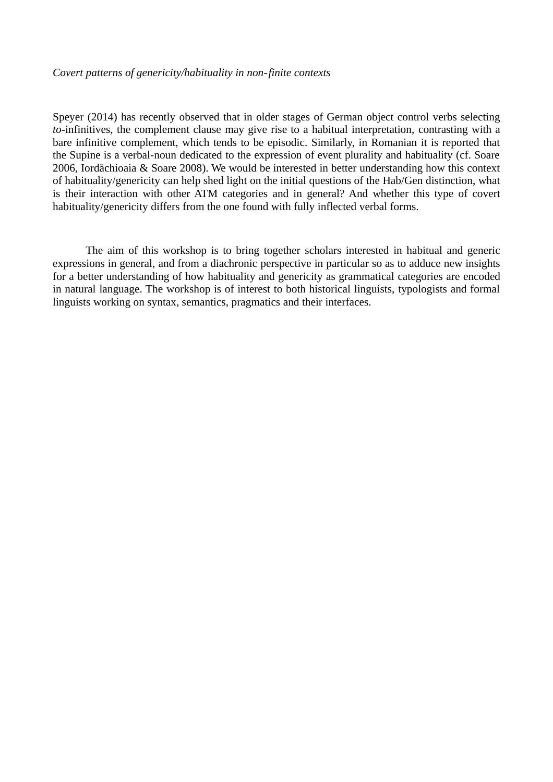# *Covert patterns of genericity/habituality in non-finite contexts*

Speyer (2014) has recently observed that in older stages of German object control verbs selecting *to*-infinitives, the complement clause may give rise to a habitual interpretation, contrasting with a bare infinitive complement, which tends to be episodic. Similarly, in Romanian it is reported that the Supine is a verbal-noun dedicated to the expression of event plurality and habituality (cf. Soare 2006, Iordăchioaia & Soare 2008). We would be interested in better understanding how this context of habituality/genericity can help shed light on the initial questions of the Hab/Gen distinction, what is their interaction with other ATM categories and in general? And whether this type of covert habituality/genericity differs from the one found with fully inflected verbal forms.

The aim of this workshop is to bring together scholars interested in habitual and generic expressions in general, and from a diachronic perspective in particular so as to adduce new insights for a better understanding of how habituality and genericity as grammatical categories are encoded in natural language. The workshop is of interest to both historical linguists, typologists and formal linguists working on syntax, semantics, pragmatics and their interfaces.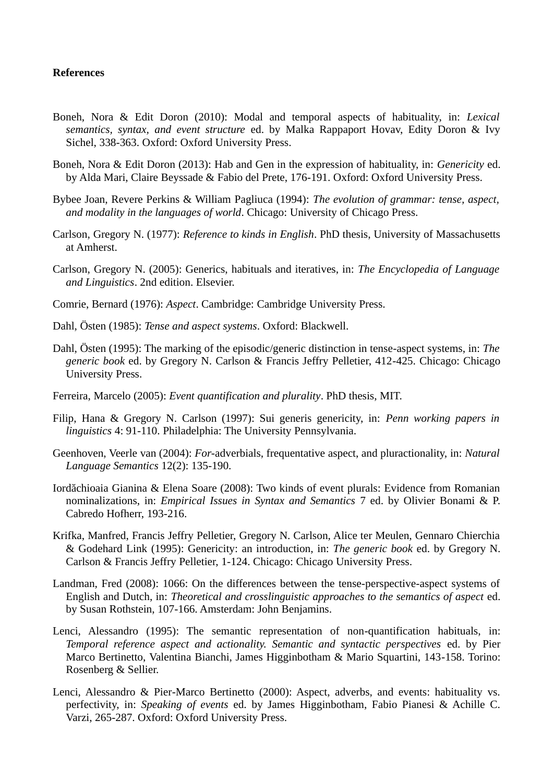# **References**

- Boneh, Nora & Edit Doron (2010): Modal and temporal aspects of habituality, in: *Lexical semantics, syntax, and event structure* ed. by Malka Rappaport Hovav, Edity Doron & Ivy Sichel, 338-363. Oxford: Oxford University Press.
- Boneh, Nora & Edit Doron (2013): Hab and Gen in the expression of habituality, in: *Genericity* ed. by Alda Mari, Claire Beyssade & Fabio del Prete, 176-191. Oxford: Oxford University Press.
- Bybee Joan, Revere Perkins & William Pagliuca (1994): *The evolution of grammar: tense, aspect, and modality in the languages of world*. Chicago: University of Chicago Press.
- Carlson, Gregory N. (1977): *Reference to kinds in English*. PhD thesis, University of Massachusetts at Amherst.
- Carlson, Gregory N. (2005): Generics, habituals and iteratives, in: *The Encyclopedia of Language and Linguistics*. 2nd edition. Elsevier.
- Comrie, Bernard (1976): *Aspect*. Cambridge: Cambridge University Press.
- Dahl, Östen (1985): *Tense and aspect systems*. Oxford: Blackwell.
- Dahl, Östen (1995): The marking of the episodic/generic distinction in tense-aspect systems, in: *The generic book* ed. by Gregory N. Carlson & Francis Jeffry Pelletier, 412-425. Chicago: Chicago University Press.
- Ferreira, Marcelo (2005): *Event quantification and plurality*. PhD thesis, MIT.
- Filip, Hana & Gregory N. Carlson (1997): Sui generis genericity, in: *Penn working papers in linguistics* 4: 91-110. Philadelphia: The University Pennsylvania.
- Geenhoven, Veerle van (2004): *For-*adverbials, frequentative aspect, and pluractionality, in: *Natural Language Semantics* 12(2): 135-190.
- Iordăchioaia Gianina & Elena Soare (2008): Two kinds of event plurals: Evidence from Romanian nominalizations, in: *Empirical Issues in Syntax and Semantics* 7 ed. by Olivier Bonami & P. Cabredo Hofherr, 193-216.
- Krifka, Manfred, Francis Jeffry Pelletier, Gregory N. Carlson, Alice ter Meulen, Gennaro Chierchia & Godehard Link (1995): Genericity: an introduction, in: *The generic book* ed. by Gregory N. Carlson & Francis Jeffry Pelletier, 1-124. Chicago: Chicago University Press.
- Landman, Fred (2008): 1066: On the differences between the tense-perspective-aspect systems of English and Dutch, in: *Theoretical and crosslinguistic approaches to the semantics of aspect* ed. by Susan Rothstein, 107-166. Amsterdam: John Benjamins.
- Lenci, Alessandro (1995): The semantic representation of non-quantification habituals, in: *Temporal reference aspect and actionality. Semantic and syntactic perspectives* ed. by Pier Marco Bertinetto, Valentina Bianchi, James Higginbotham & Mario Squartini, 143-158. Torino: Rosenberg & Sellier.
- Lenci, Alessandro & Pier-Marco Bertinetto (2000): Aspect, adverbs, and events: habituality vs. perfectivity, in: *Speaking of events* ed. by James Higginbotham, Fabio Pianesi & Achille C. Varzi, 265-287. Oxford: Oxford University Press.